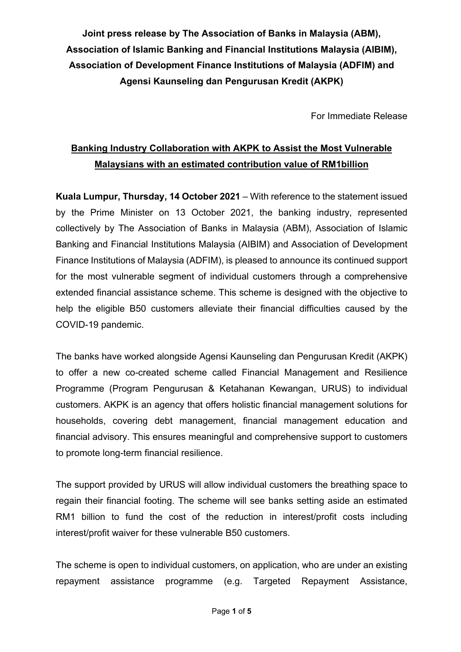**Joint press release by The Association of Banks in Malaysia (ABM), Association of Islamic Banking and Financial Institutions Malaysia (AIBIM), Association of Development Finance Institutions of Malaysia (ADFIM) and Agensi Kaunseling dan Pengurusan Kredit (AKPK)**

For Immediate Release

# **Banking Industry Collaboration with AKPK to Assist the Most Vulnerable Malaysians with an estimated contribution value of RM1billion**

**Kuala Lumpur, Thursday, 14 October 2021** – With reference to the statement issued by the Prime Minister on 13 October 2021, the banking industry, represented collectively by The Association of Banks in Malaysia (ABM), Association of Islamic Banking and Financial Institutions Malaysia (AIBIM) and Association of Development Finance Institutions of Malaysia (ADFIM), is pleased to announce its continued support for the most vulnerable segment of individual customers through a comprehensive extended financial assistance scheme. This scheme is designed with the objective to help the eligible B50 customers alleviate their financial difficulties caused by the COVID-19 pandemic.

The banks have worked alongside Agensi Kaunseling dan Pengurusan Kredit (AKPK) to offer a new co-created scheme called Financial Management and Resilience Programme (Program Pengurusan & Ketahanan Kewangan, URUS) to individual customers. AKPK is an agency that offers holistic financial management solutions for households, covering debt management, financial management education and financial advisory. This ensures meaningful and comprehensive support to customers to promote long-term financial resilience.

The support provided by URUS will allow individual customers the breathing space to regain their financial footing. The scheme will see banks setting aside an estimated RM1 billion to fund the cost of the reduction in interest/profit costs including interest/profit waiver for these vulnerable B50 customers.

The scheme is open to individual customers, on application, who are under an existing repayment assistance programme (e.g. Targeted Repayment Assistance,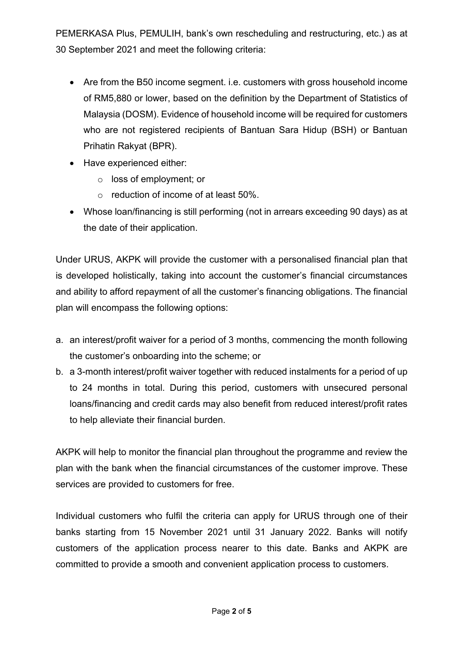PEMERKASA Plus, PEMULIH, bank's own rescheduling and restructuring, etc.) as at 30 September 2021 and meet the following criteria:

- Are from the B50 income segment. i.e. customers with gross household income of RM5,880 or lower, based on the definition by the Department of Statistics of Malaysia (DOSM). Evidence of household income will be required for customers who are not registered recipients of Bantuan Sara Hidup (BSH) or Bantuan Prihatin Rakyat (BPR).
- Have experienced either:
	- o loss of employment; or
	- o reduction of income of at least 50%.
- Whose loan/financing is still performing (not in arrears exceeding 90 days) as at the date of their application.

Under URUS, AKPK will provide the customer with a personalised financial plan that is developed holistically, taking into account the customer's financial circumstances and ability to afford repayment of all the customer's financing obligations. The financial plan will encompass the following options:

- a. an interest/profit waiver for a period of 3 months, commencing the month following the customer's onboarding into the scheme; or
- b. a 3-month interest/profit waiver together with reduced instalments for a period of up to 24 months in total. During this period, customers with unsecured personal loans/financing and credit cards may also benefit from reduced interest/profit rates to help alleviate their financial burden.

AKPK will help to monitor the financial plan throughout the programme and review the plan with the bank when the financial circumstances of the customer improve. These services are provided to customers for free.

Individual customers who fulfil the criteria can apply for URUS through one of their banks starting from 15 November 2021 until 31 January 2022. Banks will notify customers of the application process nearer to this date. Banks and AKPK are committed to provide a smooth and convenient application process to customers.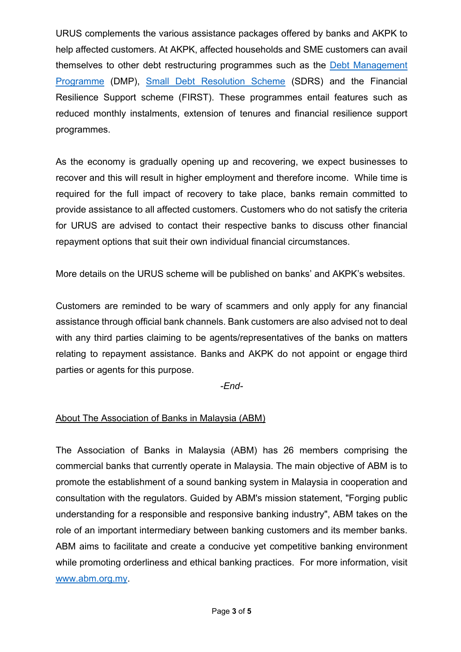URUS complements the various assistance packages offered by banks and AKPK to help affected customers. At AKPK, affected households and SME customers can avail themselves to other debt restructuring programmes such as the [Debt Management](https://www.akpk.org.my/content/198-debt-management-programme-dmp)  [Programme](https://www.akpk.org.my/content/198-debt-management-programme-dmp) (DMP), [Small Debt Resolution Scheme](https://www.akpk.org.my/sdrs) (SDRS) and the Financial Resilience Support scheme (FIRST). These programmes entail features such as reduced monthly instalments, extension of tenures and financial resilience support programmes.

As the economy is gradually opening up and recovering, we expect businesses to recover and this will result in higher employment and therefore income. While time is required for the full impact of recovery to take place, banks remain committed to provide assistance to all affected customers. Customers who do not satisfy the criteria for URUS are advised to contact their respective banks to discuss other financial repayment options that suit their own individual financial circumstances.

More details on the URUS scheme will be published on banks' and AKPK's websites.

Customers are reminded to be wary of scammers and only apply for any financial assistance through official bank channels. Bank customers are also advised not to deal with any third parties claiming to be agents/representatives of the banks on matters relating to repayment assistance. Banks and AKPK do not appoint or engage third parties or agents for this purpose.

*-End-*

# About The Association of Banks in Malaysia (ABM)

The Association of Banks in Malaysia (ABM) has 26 members comprising the commercial banks that currently operate in Malaysia. The main objective of ABM is to promote the establishment of a sound banking system in Malaysia in cooperation and consultation with the regulators. Guided by ABM's mission statement, "Forging public understanding for a responsible and responsive banking industry", ABM takes on the role of an important intermediary between banking customers and its member banks. ABM aims to facilitate and create a conducive yet competitive banking environment while promoting orderliness and ethical banking practices. For more information, visit [www.abm.org.my.](http://www.abm.org.my/)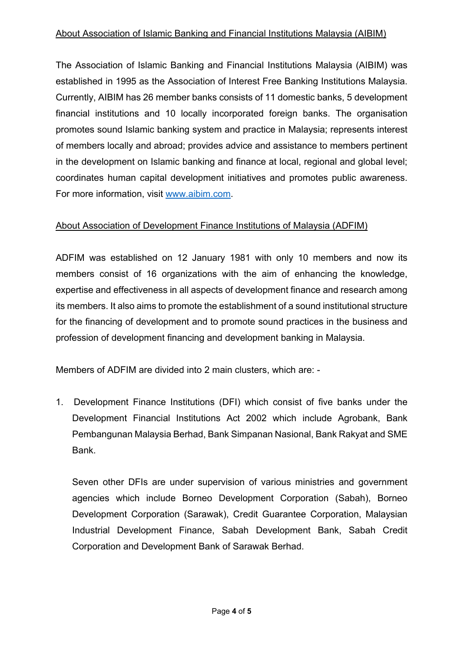# About Association of Islamic Banking and Financial Institutions Malaysia (AIBIM)

The Association of Islamic Banking and Financial Institutions Malaysia (AIBIM) was established in 1995 as the Association of Interest Free Banking Institutions Malaysia. Currently, AIBIM has 26 member banks consists of 11 domestic banks, 5 development financial institutions and 10 locally incorporated foreign banks. The organisation promotes sound Islamic banking system and practice in Malaysia; represents interest of members locally and abroad; provides advice and assistance to members pertinent in the development on Islamic banking and finance at local, regional and global level; coordinates human capital development initiatives and promotes public awareness. For more information, visit [www.aibim.com.](https://aibim.com/)

# About Association of Development Finance Institutions of Malaysia (ADFIM)

ADFIM was established on 12 January 1981 with only 10 members and now its members consist of 16 organizations with the aim of enhancing the knowledge, expertise and effectiveness in all aspects of development finance and research among its members. It also aims to promote the establishment of a sound institutional structure for the financing of development and to promote sound practices in the business and profession of development financing and development banking in Malaysia.

Members of ADFIM are divided into 2 main clusters, which are: -

1. Development Finance Institutions (DFI) which consist of five banks under the Development Financial Institutions Act 2002 which include Agrobank, Bank Pembangunan Malaysia Berhad, Bank Simpanan Nasional, Bank Rakyat and SME Bank.

Seven other DFIs are under supervision of various ministries and government agencies which include Borneo Development Corporation (Sabah), Borneo Development Corporation (Sarawak), Credit Guarantee Corporation, Malaysian Industrial Development Finance, Sabah Development Bank, Sabah Credit Corporation and Development Bank of Sarawak Berhad.